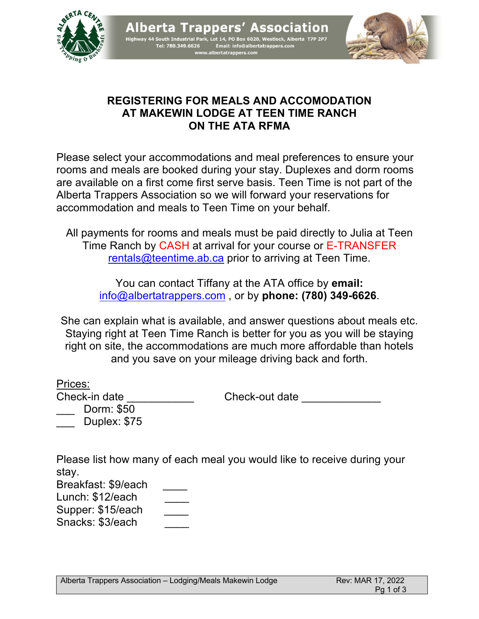





## **REGISTERING FOR MEALS AND ACCOMODATION AT MAKEWIN LODGE AT TEEN TIME RANCH ON THE ATA RFMA**

Please select your accommodations and meal preferences to ensure your rooms and meals are booked during your stay. Duplexes and dorm rooms are available on a first come first serve basis. Teen Time is not part of the Alberta Trappers Association so we will forward your reservations for accommodation and meals to Teen Time on your behalf.

All payments for rooms and meals must be paid directly to Julia at Teen Time Ranch by CASH at arrival for your course or E-TRANSFER rentals@teentime.ab.ca prior to arriving at Teen Time.

You can contact Tiffany at the ATA office by **email:** info@albertatrappers.com , or by **phone: (780) 349-6626**.

She can explain what is available, and answer questions about meals etc. Staying right at Teen Time Ranch is better for you as you will be staying right on site, the accommodations are much more affordable than hotels and you save on your mileage driving back and forth.

| Prices:       |                |
|---------------|----------------|
| Check-in date | Check-out date |
| Dorm: \$50    |                |

Please list how many of each meal you would like to receive during your stay. Breakfast: \$9/each \_\_\_\_

Lunch: \$12/each

Supper: \$15/each

\_\_\_ Duplex: \$75

Snacks: \$3/each \_\_\_\_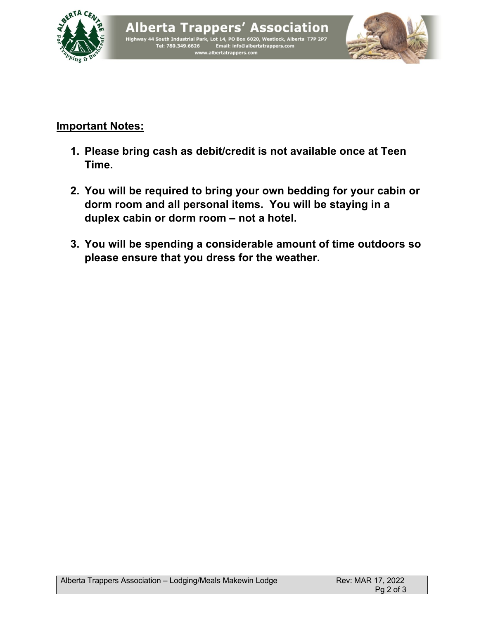





## **Important Notes:**

- **1. Please bring cash as debit/credit is not available once at Teen Time.**
- **2. You will be required to bring your own bedding for your cabin or dorm room and all personal items. You will be staying in a duplex cabin or dorm room – not a hotel.**
- **3. You will be spending a considerable amount of time outdoors so please ensure that you dress for the weather.**